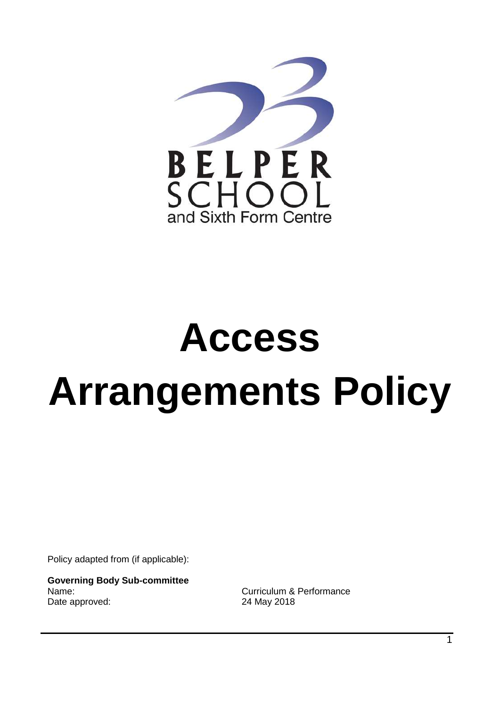

# **Access Arrangements Policy**

Policy adapted from (if applicable):

**Governing Body Sub-committee** Name: Curriculum & Performance Date approved: 24 May 2018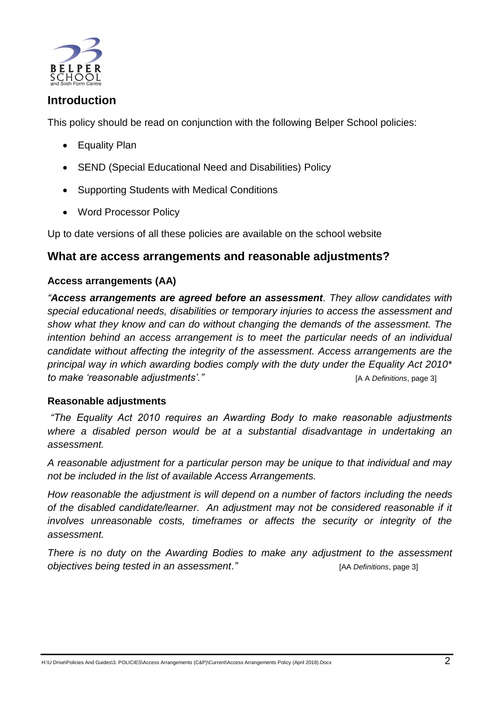

# **Introduction**

This policy should be read on conjunction with the following Belper School policies:

- Equality Plan
- SEND (Special Educational Need and Disabilities) Policy
- Supporting Students with Medical Conditions
- Word Processor Policy

Up to date versions of all these policies are available on the school website

# **What are access arrangements and reasonable adjustments?**

#### **Access arrangements (AA)**

*"Access arrangements are agreed before an assessment. They allow candidates with special educational needs, disabilities or temporary injuries to access the assessment and show what they know and can do without changing the demands of the assessment. The intention behind an access arrangement is to meet the particular needs of an individual candidate without affecting the integrity of the assessment. Access arrangements are the principal way in which awarding bodies comply with the duty under the Equality Act 2010\* to make "reasonable adjustments"."* [\[A](http://www.jcq.org.uk/exams-office/access-arrangements-and-special-consideration/regulations-and-guidance) A *Definitions*, page 3]

## **Reasonable adjustments**

*"The Equality Act 2010 requires an Awarding Body to make reasonable adjustments where a disabled person would be at a substantial disadvantage in undertaking an assessment.*

*A reasonable adjustment for a particular person may be unique to that individual and may not be included in the list of available Access Arrangements.*

*How reasonable the adjustment is will depend on a number of factors including the needs of the disabled candidate/learner. An adjustment may not be considered reasonable if it involves unreasonable costs, timeframes or affects the security or integrity of the assessment.*

*There is no duty on the Awarding Bodies to make any adjustment to the assessment objectives being tested in an assessment."* [\[AA](http://www.jcq.org.uk/exams-office/access-arrangements-and-special-consideration/regulations-and-guidance) *Definitions*, page 3]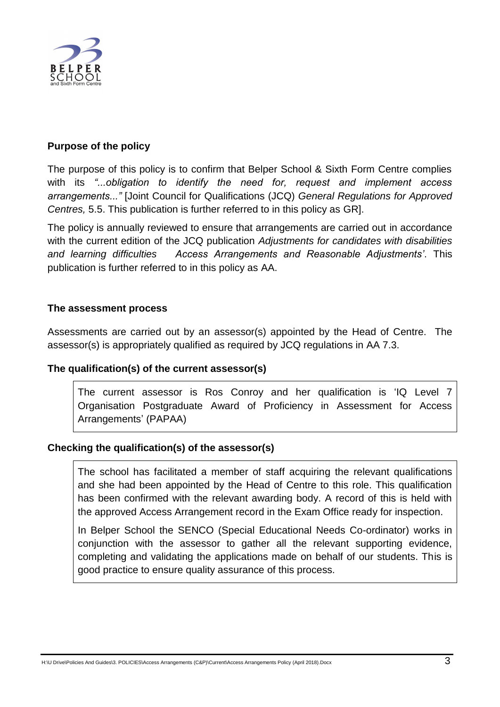

### **Purpose of the policy**

The purpose of this policy is to confirm that Belper School & Sixth Form Centre complies with its *"...obligation to identify the need for, request and implement access arrangements..."* [Joint Council for Qualifications (JCQ) *General Regulations for Approved Centres,* 5.5. This publication is further referred to in this policy as [GR\]](http://www.jcq.org.uk/exams-office/general-regulations).

The policy is annually reviewed to ensure that arrangements are carried out in accordance with the current edition of the JCQ publication *Adjustments for candidates with disabilities and learning difficulties Access Arrangements and Reasonable Adjustments"*. This publication is further referred to in this policy as [AA.](http://www.jcq.org.uk/exams-office/access-arrangements-and-special-consideration/regulations-and-guidance)

#### **The assessment process**

Assessments are carried out by an assessor(s) appointed by the Head of Centre. The assessor(s) is appropriately qualified as required by JCQ regulations in [AA](http://www.jcq.org.uk/exams-office/access-arrangements-and-special-consideration/regulations-and-guidance) 7.3.

#### **The qualification(s) of the current assessor(s)**

The current assessor is Ros Conroy and her qualification is 'IQ Level 7 Organisation Postgraduate Award of Proficiency in Assessment for Access Arrangements' (PAPAA)

#### **Checking the qualification(s) of the assessor(s)**

The school has facilitated a member of staff acquiring the relevant qualifications and she had been appointed by the Head of Centre to this role. This qualification has been confirmed with the relevant awarding body. A record of this is held with the approved Access Arrangement record in the Exam Office ready for inspection.

In Belper School the SENCO (Special Educational Needs Co-ordinator) works in conjunction with the assessor to gather all the relevant supporting evidence, completing and validating the applications made on behalf of our students. This is good practice to ensure quality assurance of this process.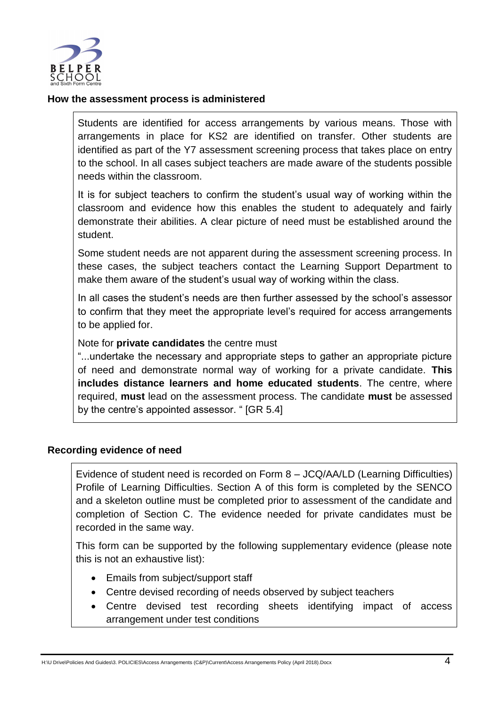

#### **How the assessment process is administered**

Students are identified for access arrangements by various means. Those with arrangements in place for KS2 are identified on transfer. Other students are identified as part of the Y7 assessment screening process that takes place on entry to the school. In all cases subject teachers are made aware of the students possible needs within the classroom.

It is for subject teachers to confirm the student's usual way of working within the classroom and evidence how this enables the student to adequately and fairly demonstrate their abilities. A clear picture of need must be established around the student.

Some student needs are not apparent during the assessment screening process. In these cases, the subject teachers contact the Learning Support Department to make them aware of the student's usual way of working within the class.

In all cases the student's needs are then further assessed by the school's assessor to confirm that they meet the appropriate level's required for access arrangements to be applied for.

#### Note for **private candidates** the centre must

"...undertake the necessary and appropriate steps to gather an appropriate picture of need and demonstrate normal way of working for a private candidate. **This includes distance learners and home educated students**. The centre, where required, **must** lead on the assessment process. The candidate **must** be assessed by the centre's appointed assessor. " [\[GR](http://www.jcq.org.uk/exams-office/general-regulations) 5.4]

#### **Recording evidence of need**

Evidence of student need is recorded on Form 8 – JCQ/AA/LD (Learning Difficulties) Profile of Learning Difficulties. Section A of this form is completed by the SENCO and a skeleton outline must be completed prior to assessment of the candidate and completion of Section C. The evidence needed for private candidates must be recorded in the same way.

This form can be supported by the following supplementary evidence (please note this is not an exhaustive list):

- Emails from subject/support staff
- Centre devised recording of needs observed by subject teachers
- Centre devised test recording sheets identifying impact of access arrangement under test conditions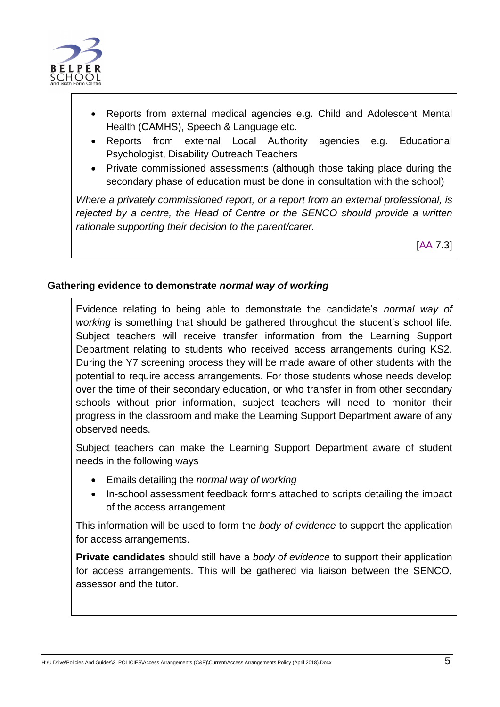

- Reports from external medical agencies e.g. Child and Adolescent Mental Health (CAMHS), Speech & Language etc.
- Reports from external Local Authority agencies e.g. Educational Psychologist, Disability Outreach Teachers
- Private commissioned assessments (although those taking place during the secondary phase of education must be done in consultation with the school)

*Where a privately commissioned report, or a report from an external professional, is rejected by a centre, the Head of Centre or the SENCO should provide a written rationale supporting their decision to the parent/carer.*

[\[AA](http://www.jcq.org.uk/exams-office/access-arrangements-and-special-consideration/regulations-and-guidance) 7.3]

## **Gathering evidence to demonstrate** *normal way of working*

Evidence relating to being able to demonstrate the candidate's *normal way of working* is something that should be gathered throughout the student's school life. Subject teachers will receive transfer information from the Learning Support Department relating to students who received access arrangements during KS2. During the Y7 screening process they will be made aware of other students with the potential to require access arrangements. For those students whose needs develop over the time of their secondary education, or who transfer in from other secondary schools without prior information, subject teachers will need to monitor their progress in the classroom and make the Learning Support Department aware of any observed needs.

Subject teachers can make the Learning Support Department aware of student needs in the following ways

- Emails detailing the *normal way of working*
- In-school assessment feedback forms attached to scripts detailing the impact of the access arrangement

This information will be used to form the *body of evidence* to support the application for access arrangements.

**Private candidates** should still have a *body of evidence* to support their application for access arrangements. This will be gathered via liaison between the SENCO, assessor and the tutor.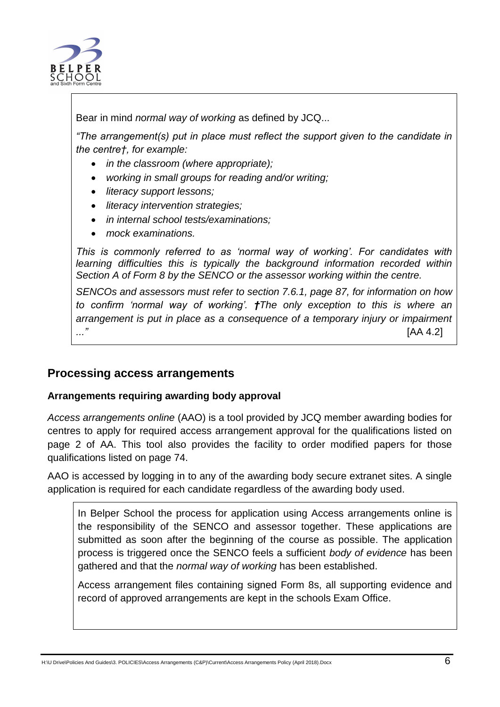

Bear in mind *normal way of working* as defined by JCQ...

*"The arrangement(s) put in place must reflect the support given to the candidate in the centre†, for example:*

- *in the classroom (where appropriate);*
- *working in small groups for reading and/or writing;*
- *literacy support lessons;*
- *literacy intervention strategies;*
- *in internal school tests/examinations;*
- *mock examinations.*

*This is commonly referred to as "normal way of working". For candidates with learning difficulties this is typically the background information recorded within Section A of Form 8 by the SENCO or the assessor working within the centre.* 

*SENCOs and assessors must refer to section 7.6.1, page 87, for information on how to confirm "normal way of working". †The only exception to this is where an arrangement is put in place as a consequence of a temporary injury or impairment ..."* [\[AA](http://www.jcq.org.uk/exams-office/access-arrangements-and-special-consideration/regulations-and-guidance) 4.2]

# **Processing access arrangements**

## **Arrangements requiring awarding body approval**

*Access arrangements online* (AAO) is a tool provided by JCQ member awarding bodies for centres to apply for required access arrangement approval for the qualifications listed on page 2 of [AA.](http://www.jcq.org.uk/exams-office/access-arrangements-and-special-consideration/regulations-and-guidance) This tool also provides the facility to order modified papers for those qualifications listed on page 74.

AAO is accessed by logging in to any of the awarding body secure extranet sites. A single application is required for each candidate regardless of the awarding body used.

In Belper School the process for application using Access arrangements online is the responsibility of the SENCO and assessor together. These applications are submitted as soon after the beginning of the course as possible. The application process is triggered once the SENCO feels a sufficient *body of evidence* has been gathered and that the *normal way of working* has been established.

Access arrangement files containing signed Form 8s, all supporting evidence and record of approved arrangements are kept in the schools Exam Office.

H:\U Drive\Policies And Guides\3. POLICIES\Access Arrangements (C&P)\Current\Access Arrangements Policy (April 2018).Docx 6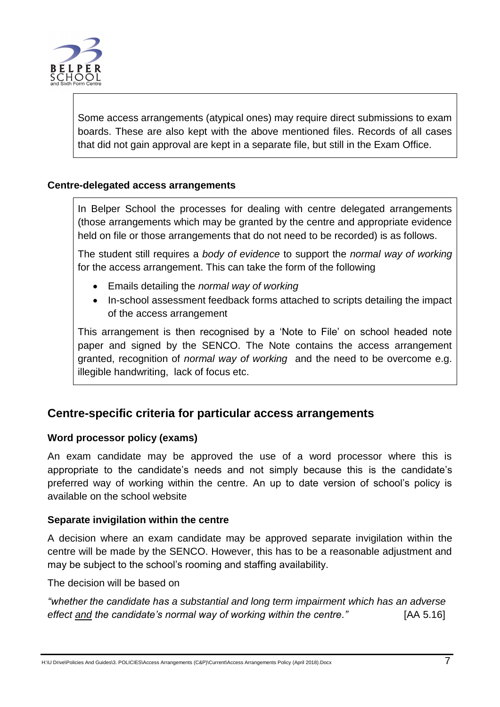

Some access arrangements (atypical ones) may require direct submissions to exam boards. These are also kept with the above mentioned files. Records of all cases that did not gain approval are kept in a separate file, but still in the Exam Office.

#### **Centre-delegated access arrangements**

In Belper School the processes for dealing with centre delegated arrangements (those arrangements which may be granted by the centre and appropriate evidence held on file or those arrangements that do not need to be recorded) is as follows.

The student still requires a *body of evidence* to support the *normal way of working*  for the access arrangement. This can take the form of the following

- Emails detailing the *normal way of working*
- In-school assessment feedback forms attached to scripts detailing the impact of the access arrangement

This arrangement is then recognised by a 'Note to File' on school headed note paper and signed by the SENCO. The Note contains the access arrangement granted, recognition of *normal way of working* and the need to be overcome e.g. illegible handwriting, lack of focus etc.

# **Centre-specific criteria for particular access arrangements**

#### **Word processor policy (exams)**

An exam candidate may be approved the use of a word processor where this is appropriate to the candidate's needs and not simply because this is the candidate's preferred way of working within the centre. An up to date version of school's policy is available on the school website

#### **Separate invigilation within the centre**

A decision where an exam candidate may be approved separate invigilation within the centre will be made by the SENCO. However, this has to be a reasonable adjustment and may be subject to the school's rooming and staffing availability.

The decision will be based on

*"whether the candidate has a substantial and long term impairment which has an adverse effect and the candidate"s normal way of working within the centre."* [\[AA](http://www.jcq.org.uk/exams-office/access-arrangements-and-special-consideration) 5.16]